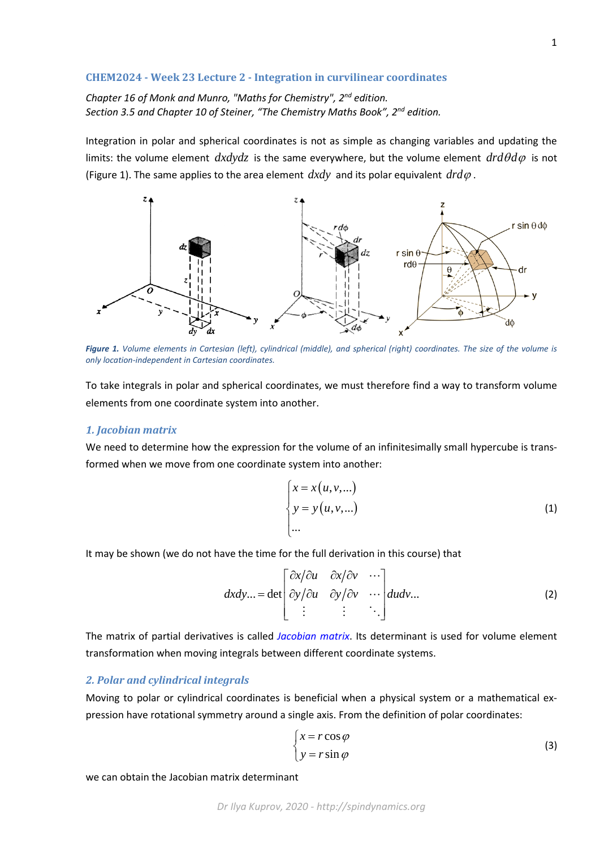## **CHEM2024 - Week 23 Lecture 2 - Integration in curvilinear coordinates**

*Chapter 16 of Monk and Munro, "Maths for Chemistry", 2nd edition. Section 3.5 and Chapter 10 of Steiner, "The Chemistry Maths Book", 2nd edition.*

Integration in polar and spherical coordinates is not as simple as changing variables and updating the limits: the volume element  $dx dy dz$  is the same everywhere, but the volume element  $dr d\theta d\varphi$  is not (Figure 1). The same applies to the area element  $dxdy$  and its polar equivalent  $drd\varphi$ .



*Figure 1. Volume elements in Cartesian (left), cylindrical (middle), and spherical (right) coordinates. The size of the volume is only location-independent in Cartesian coordinates.*

To take integrals in polar and spherical coordinates, we must therefore find a way to transform volume elements from one coordinate system into another.

## *1. Jacobian matrix*

We need to determine how the expression for the volume of an infinitesimally small hypercube is transformed when we move from one coordinate system into another:

$$
\begin{cases}\nx = x(u, v, \ldots) \\
y = y(u, v, \ldots) \\
\ldots\n\end{cases}
$$
\n(1)

It may be shown (we do not have the time for the full derivation in this course) that

$$
dxdy... = \det \begin{bmatrix} \frac{\partial x}{\partial u} & \frac{\partial x}{\partial v} & \cdots \\ \frac{\partial y}{\partial u} & \frac{\partial y}{\partial v} & \cdots \\ \vdots & \vdots & \ddots \end{bmatrix} dudv... \tag{2}
$$

The matrix of partial derivatives is called *Jacobian matrix*. Its determinant is used for volume element transformation when moving integrals between different coordinate systems.

## *2. Polar and cylindrical integrals*

Moving to polar or cylindrical coordinates is beneficial when a physical system or a mathematical expression have rotational symmetry around a single axis. From the definition of polar coordinates:

$$
\begin{cases}\n x = r \cos \varphi \\
 y = r \sin \varphi\n\end{cases}
$$
\n(3)

we can obtain the Jacobian matrix determinant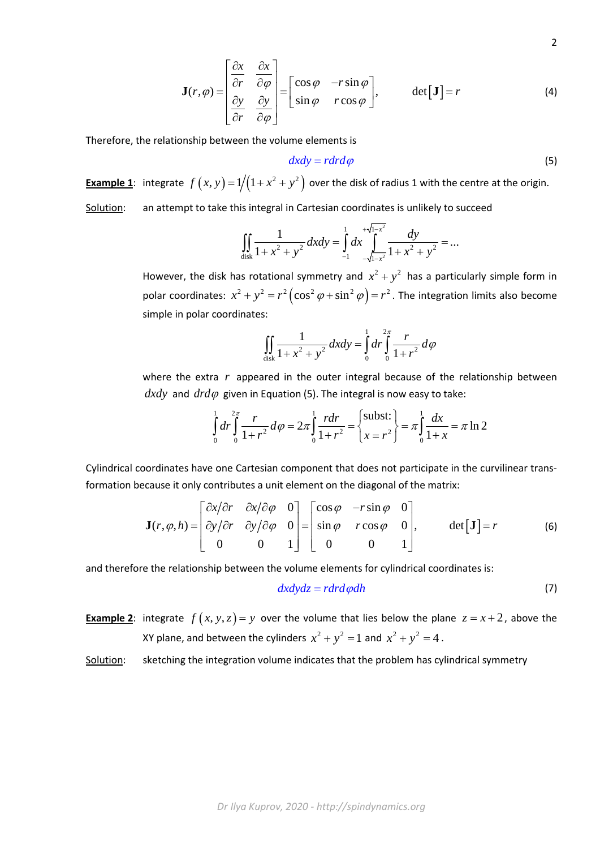$$
\mathbf{J}(r,\varphi) = \begin{bmatrix} \frac{\partial x}{\partial r} & \frac{\partial x}{\partial \varphi} \\ \frac{\partial y}{\partial r} & \frac{\partial y}{\partial \varphi} \end{bmatrix} = \begin{bmatrix} \cos\varphi & -r\sin\varphi \\ \sin\varphi & r\cos\varphi \end{bmatrix}, \qquad \det[\mathbf{J}] = r \tag{4}
$$

Therefore, the relationship between the volume elements is

$$
dxdy = rdrd\varphi \tag{5}
$$

**Example 1**: integrate  $f(x, y) = 1/(1 + x^2 + y^2)$  over the disk of radius 1 with the centre at the origin.

Solution: an attempt to take this integral in Cartesian coordinates is unlikely to succeed

$$
\iint_{\text{disk}} \frac{1}{1 + x^2 + y^2} dx dy = \int_{-1}^{1} dx \int_{-\sqrt{1 - x^2}}^{+\sqrt{1 - x^2}} \frac{dy}{1 + x^2 + y^2} = \dots
$$

However, the disk has rotational symmetry and  $x^2 + y^2$  has a particularly simple form in polar coordinates:  $x^2 + y^2 = r^2(\cos^2 \varphi + \sin^2 \varphi) = r^2$ . The integration limits also become simple in polar coordinates:

$$
\iint_{\text{disk}} \frac{1}{1 + x^2 + y^2} dx dy = \int_0^1 dr \int_0^{2\pi} \frac{r}{1 + r^2} d\varphi
$$

where the extra r appeared in the outer integral because of the relationship between  $dxdy$  and  $drd\varphi$  given in Equation (5). The integral is now easy to take:

$$
\int_{0}^{1} dr \int_{0}^{2\pi} \frac{r}{1+r^{2}} d\varphi = 2\pi \int_{0}^{1} \frac{r dr}{1+r^{2}} = \left\{ \frac{\text{subst:}}{x=r^{2}} \right\} = \pi \int_{0}^{1} \frac{dx}{1+x} = \pi \ln 2
$$

Cylindrical coordinates have one Cartesian component that does not participate in the curvilinear transformation because it only contributes a unit element on the diagonal of the matrix:

$$
\mathbf{J}(r,\varphi,h) = \begin{bmatrix} \frac{\partial x}{\partial r} & \frac{\partial x}{\partial \varphi} & 0 \\ \frac{\partial y}{\partial r} & \frac{\partial y}{\partial \varphi} & 0 \\ 0 & 0 & 1 \end{bmatrix} = \begin{bmatrix} \cos\varphi & -r\sin\varphi & 0 \\ \sin\varphi & r\cos\varphi & 0 \\ 0 & 0 & 1 \end{bmatrix}, \qquad \det[\mathbf{J}] = r \tag{6}
$$

and therefore the relationship between the volume elements for cylindrical coordinates is:

$$
dx dy dz = r dr d\varphi dh \tag{7}
$$

**Example 2:** integrate  $f(x, y, z) = y$  over the volume that lies below the plane  $z = x + 2$ , above the XY plane, and between the cylinders  $x^2 + y^2 = 1$  and  $x^2 + y^2 = 4$ .

Solution: sketching the integration volume indicates that the problem has cylindrical symmetry